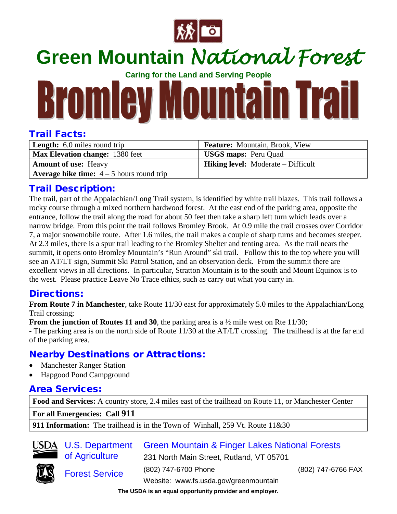

## **Green Mountain** *National Forest*

**Caring for the Land and Serving People**

# **Bromley Mountain Trail**

#### Trail Facts:

| <b>Length:</b> 6.0 miles round trip                | <b>Feature:</b> Mountain, Brook, View     |
|----------------------------------------------------|-------------------------------------------|
| Max Elevation change: 1380 feet                    | <b>USGS maps: Peru Quad</b>               |
| <b>Amount of use: Heavy</b>                        | <b>Hiking level:</b> Moderate – Difficult |
| <b>Average hike time:</b> $4 - 5$ hours round trip |                                           |

#### Trail Description:

The trail, part of the Appalachian/Long Trail system, is identified by white trail blazes. This trail follows a rocky course through a mixed northern hardwood forest. At the east end of the parking area, opposite the entrance, follow the trail along the road for about 50 feet then take a sharp left turn which leads over a narrow bridge. From this point the trail follows Bromley Brook. At 0.9 mile the trail crosses over Corridor 7, a major snowmobile route. After 1.6 miles, the trail makes a couple of sharp turns and becomes steeper. At 2.3 miles, there is a spur trail leading to the Bromley Shelter and tenting area. As the trail nears the summit, it opens onto Bromley Mountain's "Run Around" ski trail. Follow this to the top where you will see an AT/LT sign, Summit Ski Patrol Station, and an observation deck. From the summit there are excellent views in all directions. In particular, Stratton Mountain is to the south and Mount Equinox is to the west. Please practice Leave No Trace ethics, such as carry out what you carry in.

#### Directions:

**From Route 7 in Manchester**, take Route 11/30 east for approximately 5.0 miles to the Appalachian/Long Trail crossing;

**From the junction of Routes 11 and 30,** the parking area is a  $\frac{1}{2}$  mile west on Rte 11/30;

**-** The parking area is on the north side of Route 11/30 at the AT/LT crossing. The trailhead is at the far end of the parking area.

### Nearby Destinations or Attractions:

- Manchester Ranger Station
- Hapgood Pond Campground

#### Area Services:

**Food and Services:** A country store, 2.4 miles east of the trailhead on Route 11, or Manchester Center

**For all Emergencies: Call 911**

**911 Information:** The trailhead is in the Town of Winhall, 259 Vt. Route 11&30



Green Mountain & Finger Lakes National Forests

231 North Main Street, Rutland, VT 05701



of Agriculture

Forest Service<br>Website: www.fs.usda.gov/greenmountain

(802) 747-6700 Phone (802) 747-6766 FAX

**The USDA is an equal opportunity provider and employer.**